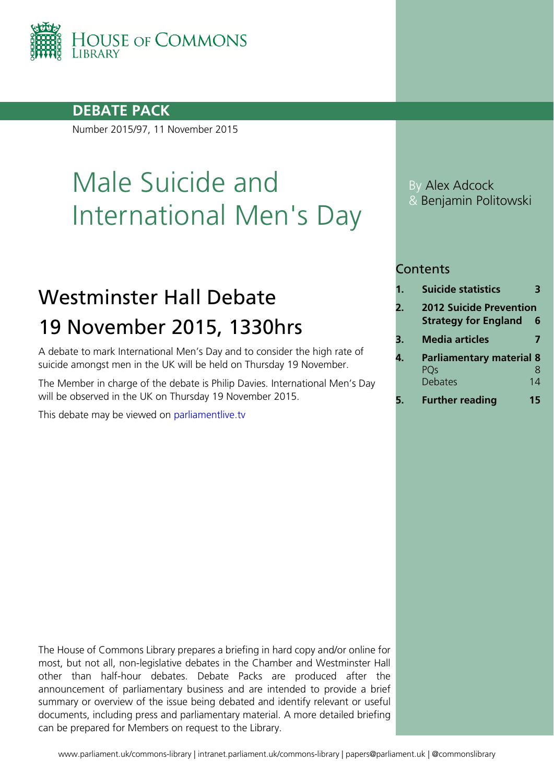

### **DEBATE PACK**

Number 2015/97, 11 November 2015

# Male Suicide and International Men's Day

# Westminster Hall Debate 19 November 2015, 1330hrs

A debate to mark International Men's Day and to consider the high rate of suicide amongst men in the UK will be held on Thursday 19 November.

The Member in charge of the debate is Philip Davies. International Men's Day will be observed in the UK on Thursday 19 November 2015.

This debate may be viewed on [parliamentlive.tv](http://www.parliamentlive.tv/Event/Index/03a641db-b428-4dd5-bc4e-e6b7a0ce0408)

By Alex Adcock & Benjamin Politowski

### **Contents**

- **1. [Suicide statistics](#page-2-0) 3**
- **2. [2012 Suicide Prevention](#page-5-0)  [Strategy for England](#page-5-0) 6**
- **3. [Media articles](#page-6-0) 7**
- **4. [Parliamentary material](#page-7-0) 8** [PQs](#page-7-1) 8 [Debates](#page-13-0) 14
- **5. [Further reading](#page-14-0) 15**

The House of Commons Library prepares a briefing in hard copy and/or online for most, but not all, non-legislative debates in the Chamber and Westminster Hall other than half-hour debates. Debate Packs are produced after the announcement of parliamentary business and are intended to provide a brief summary or overview of the issue being debated and identify relevant or useful documents, including press and parliamentary material. A more detailed briefing can be prepared for Members on request to the Library.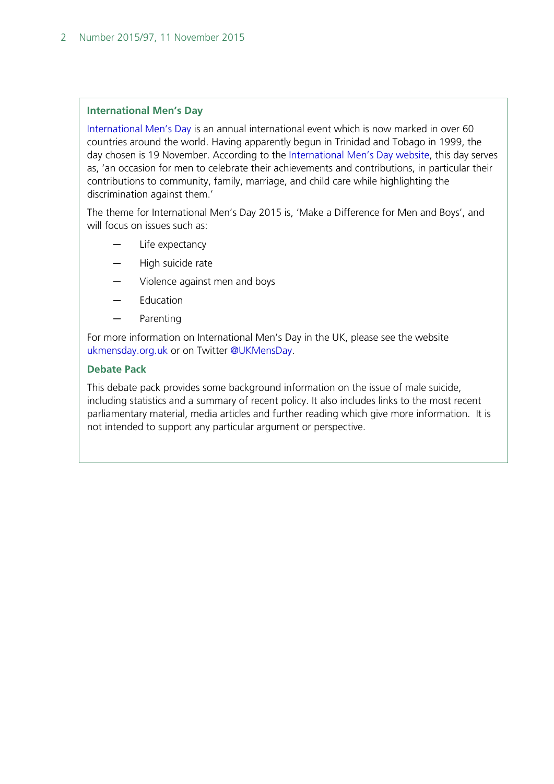#### **International Men's Day**

[International Men's Day](http://www.internationalmensday.com/) is an annual international event which is now marked in over 60 countries around the world. Having apparently begun in Trinidad and Tobago in 1999, the day chosen is 19 November. According to the [International Men's Day website,](http://www.internationalmensday.com/) this day serves as, 'an occasion for men to celebrate their achievements and contributions, in particular their contributions to community, family, marriage, and child care while highlighting the discrimination against them.'

The theme for International Men's Day 2015 is, 'Make a Difference for Men and Boys', and will focus on issues such as:

- Life expectancy
- ─ High suicide rate
- Violence against men and boys
- ─ Education
- ─ Parenting

For more information on International Men's Day in the UK, please see the website [ukmensday.org.uk](http://ukmensday.org.uk/) or on Twitter [@UKMensDay.](https://twitter.com/ukmensday)

#### **Debate Pack**

This debate pack provides some background information on the issue of male suicide, including statistics and a summary of recent policy. It also includes links to the most recent parliamentary material, media articles and further reading which give more information. It is not intended to support any particular argument or perspective.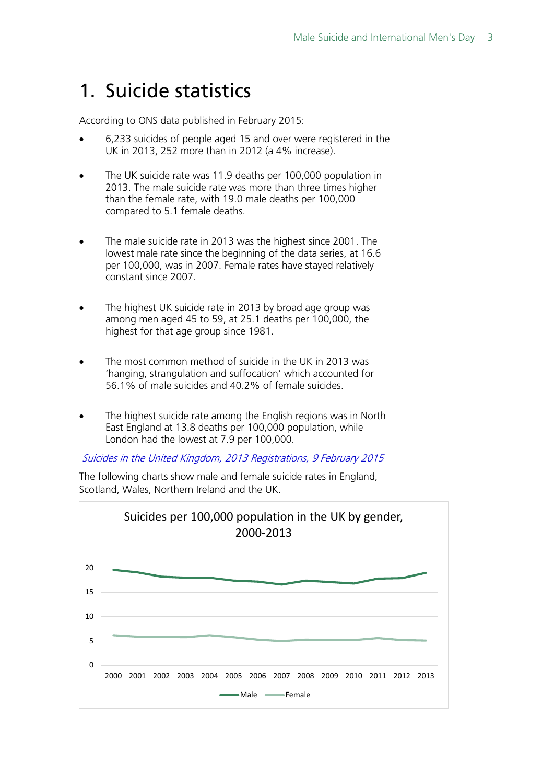# <span id="page-2-0"></span>1. Suicide statistics

According to ONS data published in February 2015:

- 6,233 suicides of people aged 15 and over were registered in the UK in 2013, 252 more than in 2012 (a 4% increase).
- The UK suicide rate was 11.9 deaths per 100,000 population in 2013. The male suicide rate was more than three times higher than the female rate, with 19.0 male deaths per 100,000 compared to 5.1 female deaths.
- The male suicide rate in 2013 was the highest since 2001. The lowest male rate since the beginning of the data series, at 16.6 per 100,000, was in 2007. Female rates have stayed relatively constant since 2007.
- The highest UK suicide rate in 2013 by broad age group was among men aged 45 to 59, at 25.1 deaths per 100,000, the highest for that age group since 1981.
- The most common method of suicide in the UK in 2013 was 'hanging, strangulation and suffocation' which accounted for 56.1% of male suicides and 40.2% of female suicides.
- The highest suicide rate among the English regions was in North East England at 13.8 deaths per 100,000 population, while London had the lowest at 7.9 per 100,000.

[Suicides in the United Kingdom, 2013 Registrations, 9 February 2015](http://www.ons.gov.uk/ons/rel/subnational-health4/suicides-in-the-united-kingdom/2013-registrations/index.html)

The following charts show male and female suicide rates in England, Scotland, Wales, Northern Ireland and the UK.

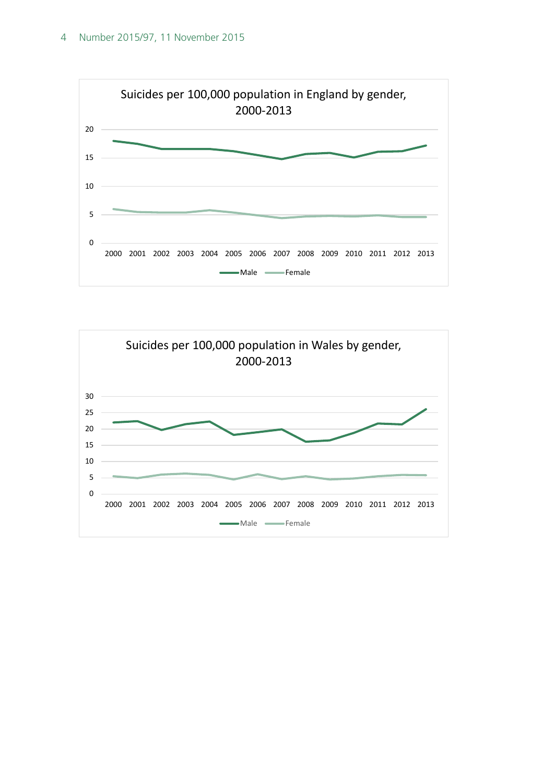

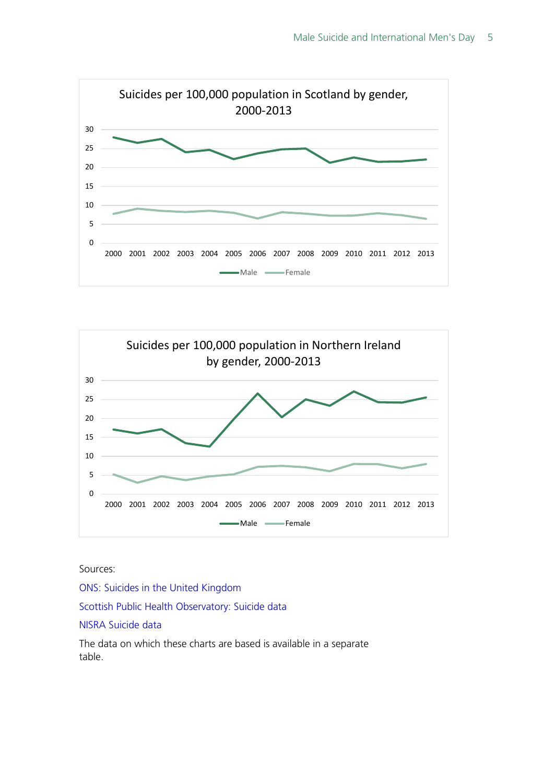



Sources:

[ONS: Suicides in the United Kingdom](http://www.ons.gov.uk/ons/rel/subnational-health4/suicides-in-the-united-kingdom/2013-registrations/index.html)

[Scottish Public Health Observatory: Suicide data](http://www.scotpho.org.uk/health-wellbeing-and-disease/suicide/data/uk)

[NISRA Suicide data](http://www.nisra.gov.uk/demography/default.asp31.htm)

The data on which these charts are based is available in a separate table.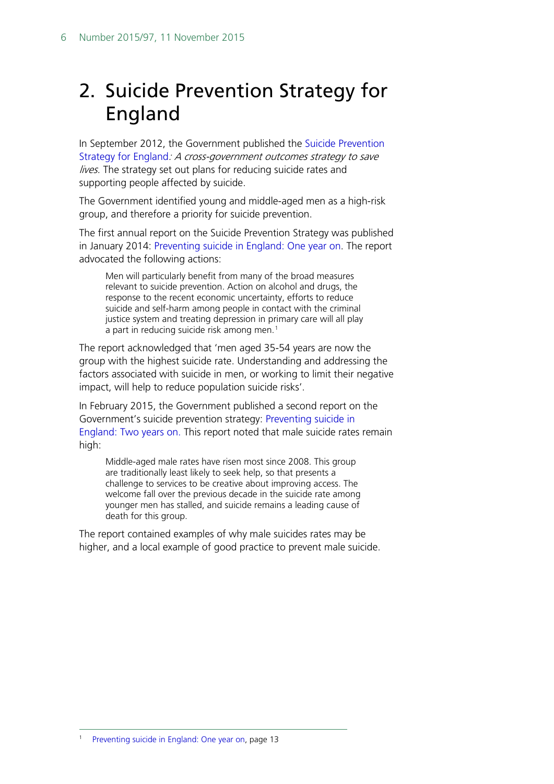# <span id="page-5-0"></span>2. Suicide Prevention Strategy for England

In September 2012, the Government published the [Suicide Prevention](https://www.gov.uk/government/publications/suicide-prevention-strategy-for-england)  [Strategy for England](https://www.gov.uk/government/publications/suicide-prevention-strategy-for-england): A cross-government outcomes strategy to save lives. The strategy set out plans for reducing suicide rates and supporting people affected by suicide.

The Government identified young and middle-aged men as a high-risk group, and therefore a priority for suicide prevention.

The first annual report on the Suicide Prevention Strategy was published in January 2014: [Preventing suicide in England: One year on.](https://www.gov.uk/government/uploads/system/uploads/attachment_data/file/278119/Annual_Report_FINAL_revised.pdf) The report advocated the following actions:

Men will particularly benefit from many of the broad measures relevant to suicide prevention. Action on alcohol and drugs, the response to the recent economic uncertainty, efforts to reduce suicide and self-harm among people in contact with the criminal justice system and treating depression in primary care will all play a part in reducing suicide risk among men. $<sup>1</sup>$  $<sup>1</sup>$  $<sup>1</sup>$ </sup>

The report acknowledged that 'men aged 35-54 years are now the group with the highest suicide rate. Understanding and addressing the factors associated with suicide in men, or working to limit their negative impact, will help to reduce population suicide risks'.

In February 2015, the Government published a second report on the Government's suicide prevention strategy: [Preventing suicide in](https://www.gov.uk/government/uploads/system/uploads/attachment_data/file/405407/Annual_Report_acc.pdf)  [England: Two years on.](https://www.gov.uk/government/uploads/system/uploads/attachment_data/file/405407/Annual_Report_acc.pdf) This report noted that male suicide rates remain high:

Middle-aged male rates have risen most since 2008. This group are traditionally least likely to seek help, so that presents a challenge to services to be creative about improving access. The welcome fall over the previous decade in the suicide rate among younger men has stalled, and suicide remains a leading cause of death for this group.

<span id="page-5-1"></span>The report contained examples of why male suicides rates may be higher, and a local example of good practice to prevent male suicide.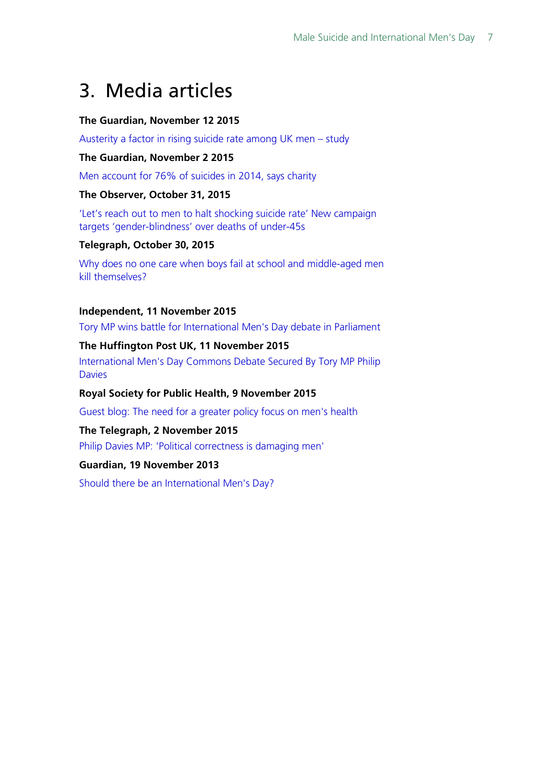# <span id="page-6-0"></span>3. Media articles

#### **The Guardian, November 12 2015**

[Austerity a factor in rising suicide rate among UK men –](http://www.theguardian.com/society/2015/nov/12/austerity-a-factor-in-rising-suicide-rate-among-uk-men-study) study

#### **The Guardian, November 2 2015**

[Men account for 76% of suicides in 2014, says charity](http://www.theguardian.com/society/2015/nov/02/men-account-for-76-of-suicides-in-2014-says-charity)

#### **The Observer, October 31, 2015**

['Let's reach out to men to halt shocking suicide rate' New campaign](http://www.theguardian.com/society/2015/oct/31/social-media-campaign-male-suicide)  [targets 'gender-blindness' over deaths of under-45s](http://www.theguardian.com/society/2015/oct/31/social-media-campaign-male-suicide)

#### **Telegraph, October 30, 2015**

[Why does no one care when boys fail at school and middle-aged men](http://www.telegraph.co.uk/men/thinking-man/11966292/Why-does-no-one-care-when-boys-fail-at-school-and-middle-aged-men-kill-themselves.html)  [kill themselves?](http://www.telegraph.co.uk/men/thinking-man/11966292/Why-does-no-one-care-when-boys-fail-at-school-and-middle-aged-men-kill-themselves.html)

#### **Independent, 11 November 2015**

[Tory MP wins battle for International Men's Day debate in Parliament](http://www.independent.co.uk/news/uk/politics/tory-mp-wins-battle-for-international-mens-day-debate-in-parliament-a6730391.html)

#### **The Huffington Post UK, 11 November 2015**

[International Men's Day Commons Debate Secured By Tory MP Philip](http://www.huffingtonpost.co.uk/2015/11/11/international-mens-day-commons-debate-secured-by-tory-mp-philip-davies_n_8532648.html)  **[Davies](http://www.huffingtonpost.co.uk/2015/11/11/international-mens-day-commons-debate-secured-by-tory-mp-philip-davies_n_8532648.html)** 

#### **Royal Society for Public Health, 9 November 2015**

[Guest blog: The need for a greater policy focus on men's health](https://www.rsph.org.uk/en/about-us/latest-news/press-releases/press-release1.cfm/pid/56378B1B-C60A-4C96-8A50AFEA60B2FE48)

#### **The Telegraph, 2 November 2015**

[Philip Davies MP: 'Political correctness is damaging men'](http://www.telegraph.co.uk/men/thinking-man/11969823/Philip-Davies-MP-Political-correctness-is-damaging-men.html)

#### **Guardian, 19 November 2013**

[Should there be an International Men's Day?](http://www.theguardian.com/commentisfree/2013/nov/19/international-mens-day-why-have)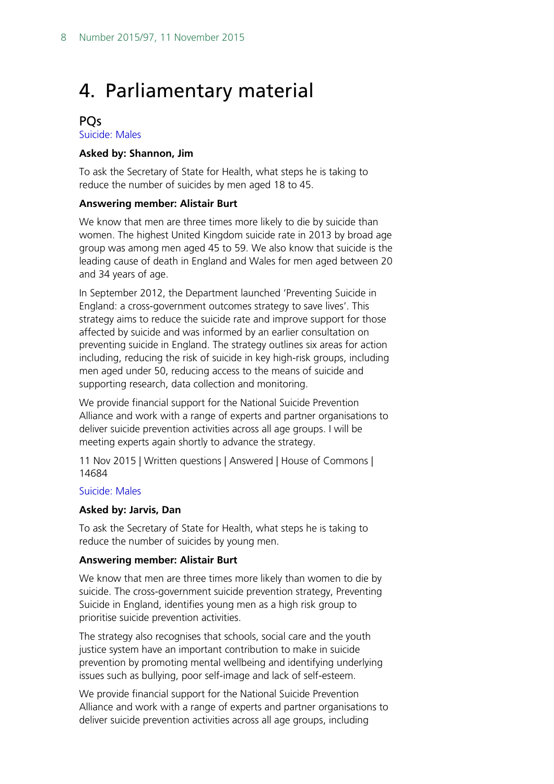### <span id="page-7-0"></span>4. Parliamentary material

#### <span id="page-7-1"></span>**PO<sub>s</sub>**

[Suicide: Males](http://www.parliament.uk/written-questions-answers-statements/written-question/commons/2015-11-04/14684)

#### **Asked by: Shannon, Jim**

To ask the Secretary of State for Health, what steps he is taking to reduce the number of suicides by men aged 18 to 45.

#### **Answering member: Alistair Burt**

We know that men are three times more likely to die by suicide than women. The highest United Kingdom suicide rate in 2013 by broad age group was among men aged 45 to 59. We also know that suicide is the leading cause of death in England and Wales for men aged between 20 and 34 years of age.

In September 2012, the Department launched 'Preventing Suicide in England: a cross-government outcomes strategy to save lives'. This strategy aims to reduce the suicide rate and improve support for those affected by suicide and was informed by an earlier consultation on preventing suicide in England. The strategy outlines six areas for action including, reducing the risk of suicide in key high-risk groups, including men aged under 50, reducing access to the means of suicide and supporting research, data collection and monitoring.

We provide financial support for the National Suicide Prevention Alliance and work with a range of experts and partner organisations to deliver suicide prevention activities across all age groups. I will be meeting experts again shortly to advance the strategy.

11 Nov 2015 | Written questions | Answered | House of Commons | 14684

#### [Suicide: Males](http://www.parliament.uk/written-questions-answers-statements/written-question/commons/2015-11-03/14566)

#### **Asked by: Jarvis, Dan**

To ask the Secretary of State for Health, what steps he is taking to reduce the number of suicides by young men.

#### **Answering member: Alistair Burt**

We know that men are three times more likely than women to die by suicide. The cross-government suicide prevention strategy, Preventing Suicide in England, identifies young men as a high risk group to prioritise suicide prevention activities.

The strategy also recognises that schools, social care and the youth justice system have an important contribution to make in suicide prevention by promoting mental wellbeing and identifying underlying issues such as bullying, poor self-image and lack of self-esteem.

We provide financial support for the National Suicide Prevention Alliance and work with a range of experts and partner organisations to deliver suicide prevention activities across all age groups, including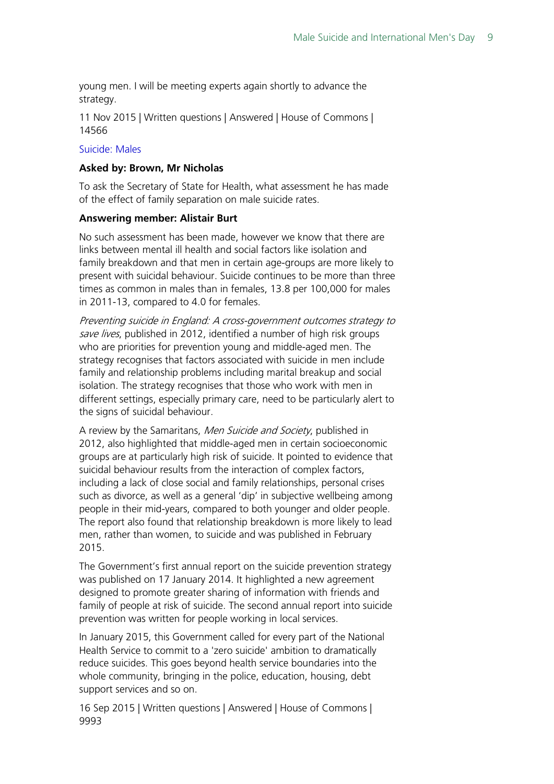young men. I will be meeting experts again shortly to advance the strategy.

11 Nov 2015 | Written questions | Answered | House of Commons | 14566

#### [Suicide: Males](http://www.parliament.uk/written-questions-answers-statements/written-question/commons/2015-09-11/9993)

#### **Asked by: Brown, Mr Nicholas**

To ask the Secretary of State for Health, what assessment he has made of the effect of family separation on male suicide rates.

#### **Answering member: Alistair Burt**

No such assessment has been made, however we know that there are links between mental ill health and social factors like isolation and family breakdown and that men in certain age-groups are more likely to present with suicidal behaviour. Suicide continues to be more than three times as common in males than in females, 13.8 per 100,000 for males in 2011-13, compared to 4.0 for females.

Preventing suicide in England: A cross-government outcomes strategy to save lives, published in 2012, identified a number of high risk groups who are priorities for prevention young and middle-aged men. The strategy recognises that factors associated with suicide in men include family and relationship problems including marital breakup and social isolation. The strategy recognises that those who work with men in different settings, especially primary care, need to be particularly alert to the signs of suicidal behaviour.

A review by the Samaritans, *Men Suicide and Society*, published in 2012, also highlighted that middle-aged men in certain socioeconomic groups are at particularly high risk of suicide. It pointed to evidence that suicidal behaviour results from the interaction of complex factors, including a lack of close social and family relationships, personal crises such as divorce, as well as a general 'dip' in subjective wellbeing among people in their mid-years, compared to both younger and older people. The report also found that relationship breakdown is more likely to lead men, rather than women, to suicide and was published in February 2015.

The Government's first annual report on the suicide prevention strategy was published on 17 January 2014. It highlighted a new agreement designed to promote greater sharing of information with friends and family of people at risk of suicide. The second annual report into suicide prevention was written for people working in local services.

In January 2015, this Government called for every part of the National Health Service to commit to a 'zero suicide' ambition to dramatically reduce suicides. This goes beyond health service boundaries into the whole community, bringing in the police, education, housing, debt support services and so on.

16 Sep 2015 | Written questions | Answered | House of Commons | 9993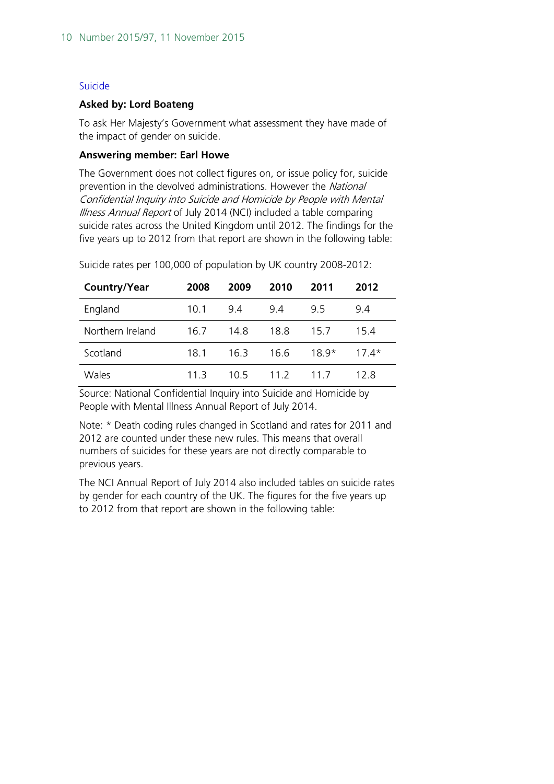#### [Suicide](http://www.parliament.uk/written-questions-answers-statements/written-question/lords/2014-11-19/HL2973)

#### **Asked by: Lord Boateng**

To ask Her Majesty's Government what assessment they have made of the impact of gender on suicide.

#### **Answering member: Earl Howe**

The Government does not collect figures on, or issue policy for, suicide prevention in the devolved administrations. However the National Confidential Inquiry into Suicide and Homicide by People with Mental Illness Annual Report of July 2014 (NCI) included a table comparing suicide rates across the United Kingdom until 2012. The findings for the five years up to 2012 from that report are shown in the following table:

| Country/Year     | 2008 | 2009 | 2010 | 2011   | 2012 |
|------------------|------|------|------|--------|------|
| England          | 10.1 | 9.4  | 9.4  | 9.5    | 9.4  |
| Northern Ireland | 16.7 | 14.8 | 18.8 | 15.7   | 15.4 |
| Scotland         | 18.1 | 163  | 16 6 | $189*$ | 174* |
| Wales            | 11 3 | 1በ 5 | 11 2 | 11 7   | 12 R |

Suicide rates per 100,000 of population by UK country 2008-2012:

Source: National Confidential Inquiry into Suicide and Homicide by People with Mental Illness Annual Report of July 2014.

Note: \* Death coding rules changed in Scotland and rates for 2011 and 2012 are counted under these new rules. This means that overall numbers of suicides for these years are not directly comparable to previous years.

The NCI Annual Report of July 2014 also included tables on suicide rates by gender for each country of the UK. The figures for the five years up to 2012 from that report are shown in the following table: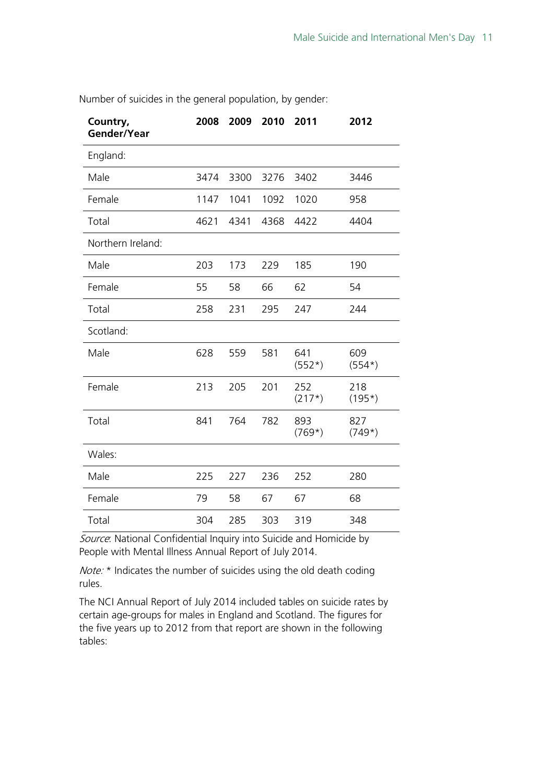| Country,<br>Gender/Year | 2008 | 2009 | 2010 | 2011            | 2012            |
|-------------------------|------|------|------|-----------------|-----------------|
| England:                |      |      |      |                 |                 |
| Male                    | 3474 | 3300 | 3276 | 3402            | 3446            |
| Female                  | 1147 | 1041 | 1092 | 1020            | 958             |
| Total                   | 4621 | 4341 | 4368 | 4422            | 4404            |
| Northern Ireland:       |      |      |      |                 |                 |
| Male                    | 203  | 173  | 229  | 185             | 190             |
| Female                  | 55   | 58   | 66   | 62              | 54              |
| Total                   | 258  | 231  | 295  | 247             | 244             |
| Scotland:               |      |      |      |                 |                 |
| Male                    | 628  | 559  | 581  | 641<br>$(552*)$ | 609<br>$(554*)$ |
| Female                  | 213  | 205  | 201  | 252<br>$(217*)$ | 218<br>$(195*)$ |
| Total                   | 841  | 764  | 782  | 893<br>$(769*)$ | 827<br>$(749*)$ |
| Wales:                  |      |      |      |                 |                 |
| Male                    | 225  | 227  | 236  | 252             | 280             |
| Female                  | 79   | 58   | 67   | 67              | 68              |
| Total                   | 304  | 285  | 303  | 319             | 348             |

Number of suicides in the general population, by gender:

Source: National Confidential Inquiry into Suicide and Homicide by People with Mental Illness Annual Report of July 2014.

Note: \* Indicates the number of suicides using the old death coding rules.

The NCI Annual Report of July 2014 included tables on suicide rates by certain age-groups for males in England and Scotland. The figures for the five years up to 2012 from that report are shown in the following tables: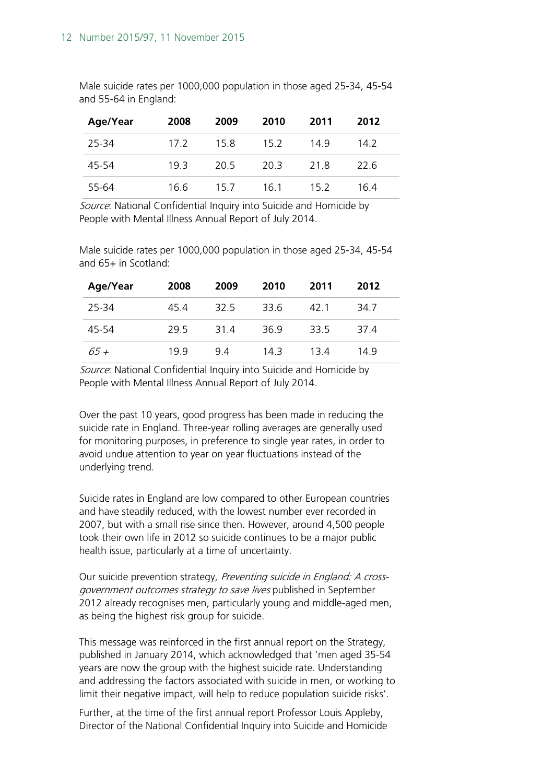Male suicide rates per 1000,000 population in those aged 25-34, 45-54 and 55-64 in England:

| Age/Year | 2008 | 2009 | 2010 | 2011 | 2012 |
|----------|------|------|------|------|------|
| 25-34    | 17.2 | 15.8 | 15.2 | 149  | 14.2 |
| 45-54    | 193  | 20.5 | 20 B | 21.8 | 22 G |
| 55-64    | 16.6 | 15.7 | 161  | 15.2 | 164  |

Source: National Confidential Inquiry into Suicide and Homicide by People with Mental Illness Annual Report of July 2014.

Male suicide rates per 1000,000 population in those aged 25-34, 45-54 and 65+ in Scotland:

| Age/Year | 2008 | 2009 | 2010 | 2011 | 2012 |
|----------|------|------|------|------|------|
| 25-34    | 45.4 | 32.5 | 33.6 | 42 1 | 34 7 |
| 45-54    | 29.5 | 31 4 | 36.9 | 33.5 | 374  |
| 65 +     | 199  | 94   | 14 3 | 134  | 149  |

Source: National Confidential Inquiry into Suicide and Homicide by People with Mental Illness Annual Report of July 2014.

Over the past 10 years, good progress has been made in reducing the suicide rate in England. Three-year rolling averages are generally used for monitoring purposes, in preference to single year rates, in order to avoid undue attention to year on year fluctuations instead of the underlying trend.

Suicide rates in England are low compared to other European countries and have steadily reduced, with the lowest number ever recorded in 2007, but with a small rise since then. However, around 4,500 people took their own life in 2012 so suicide continues to be a major public health issue, particularly at a time of uncertainty.

Our suicide prevention strategy, Preventing suicide in England: A crossgovernment outcomes strategy to save lives published in September 2012 already recognises men, particularly young and middle-aged men, as being the highest risk group for suicide.

This message was reinforced in the first annual report on the Strategy, published in January 2014, which acknowledged that 'men aged 35-54 years are now the group with the highest suicide rate. Understanding and addressing the factors associated with suicide in men, or working to limit their negative impact, will help to reduce population suicide risks'.

Further, at the time of the first annual report Professor Louis Appleby, Director of the National Confidential Inquiry into Suicide and Homicide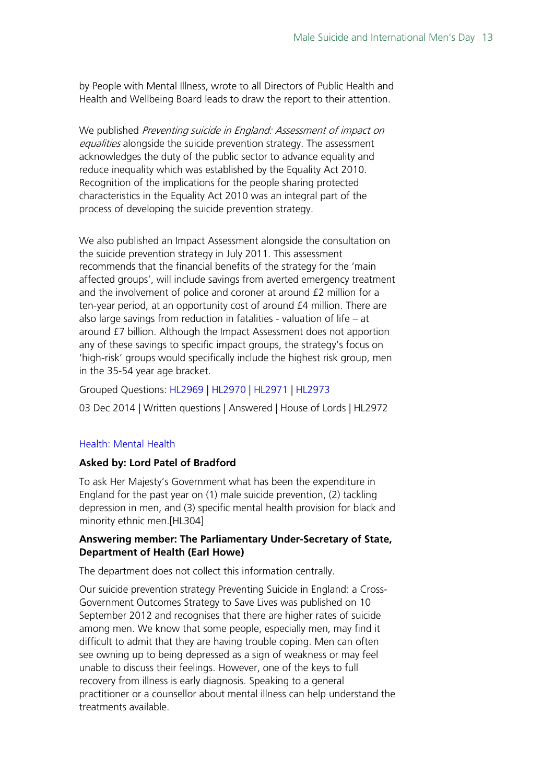by People with Mental Illness, wrote to all Directors of Public Health and Health and Wellbeing Board leads to draw the report to their attention.

We published *Preventing suicide in England: Assessment of impact on* equalities alongside the suicide prevention strategy. The assessment acknowledges the duty of the public sector to advance equality and reduce inequality which was established by the Equality Act 2010. Recognition of the implications for the people sharing protected characteristics in the Equality Act 2010 was an integral part of the process of developing the suicide prevention strategy.

We also published an Impact Assessment alongside the consultation on the suicide prevention strategy in July 2011. This assessment recommends that the financial benefits of the strategy for the 'main affected groups', will include savings from averted emergency treatment and the involvement of police and coroner at around £2 million for a ten-year period, at an opportunity cost of around £4 million. There are also large savings from reduction in fatalities - valuation of life – at around £7 billion. Although the Impact Assessment does not apportion any of these savings to specific impact groups, the strategy's focus on 'high-risk' groups would specifically include the highest risk group, men in the 35-54 year age bracket.

Grouped Questions: [HL2969](http://www.parliament.uk/business/publications/written-questions-answers-statements/written-question/Lords/2014-11-19/HL2969/) | [HL2970](http://www.parliament.uk/business/publications/written-questions-answers-statements/written-question/Lords/2014-11-19/HL2970/) | [HL2971](http://www.parliament.uk/business/publications/written-questions-answers-statements/written-question/Lords/2014-11-19/HL2971/) | [HL2973](http://www.parliament.uk/business/publications/written-questions-answers-statements/written-question/Lords/2014-11-19/HL2973/)

03 Dec 2014 | Written questions | Answered | House of Lords | HL2972

#### [Health: Mental Health](http://www.publications.parliament.uk/pa/ld201314/ldhansrd/text/130603w0001.htm#1306037001181)

#### **Asked by: Lord Patel of Bradford**

To ask Her Majesty's Government what has been the expenditure in England for the past year on (1) male suicide prevention, (2) tackling depression in men, and (3) specific mental health provision for black and minority ethnic men.[HL304]

#### **Answering member: The Parliamentary Under-Secretary of State, Department of Health (Earl Howe)**

The department does not collect this information centrally.

Our suicide prevention strategy Preventing Suicide in England: a Cross-Government Outcomes Strategy to Save Lives was published on 10 September 2012 and recognises that there are higher rates of suicide among men. We know that some people, especially men, may find it difficult to admit that they are having trouble coping. Men can often see owning up to being depressed as a sign of weakness or may feel unable to discuss their feelings. However, one of the keys to full recovery from illness is early diagnosis. Speaking to a general practitioner or a counsellor about mental illness can help understand the treatments available.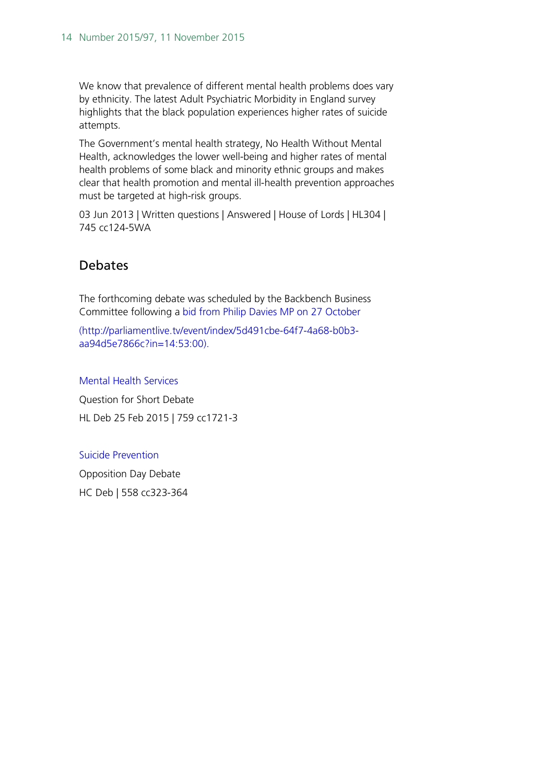We know that prevalence of different mental health problems does vary by ethnicity. The latest Adult Psychiatric Morbidity in England survey highlights that the black population experiences higher rates of suicide attempts.

The Government's mental health strategy, No Health Without Mental Health, acknowledges the lower well-being and higher rates of mental health problems of some black and minority ethnic groups and makes clear that health promotion and mental ill-health prevention approaches must be targeted at high-risk groups.

03 Jun 2013 | Written questions | Answered | House of Lords | HL304 | 745 cc124-5WA

### <span id="page-13-0"></span>Debates

The forthcoming debate was scheduled by the Backbench Business Committee following a [bid from Philip Davies MP on 27 October](http://parliamentlive.tv/event/index/5d491cbe-64f7-4a68-b0b3-aa94d5e7866c?in=14:53:00)

(http://parliamentlive.tv/event/index/5d491cbe-64f7-4a68-b0b3 aa94d5e7866c?in=14:53:00).

[Mental Health Services](http://www.publications.parliament.uk/pa/ld201415/ldhansrd/text/150225-0002.htm#150225113000040) Question for Short Debate HL Deb 25 Feb 2015 | 759 cc1721-3

#### [Suicide Prevention](http://www.publications.parliament.uk/pa/cm201213/cmhansrd/cm130206/debtext/130206-0002.htm#13020677000001)

Opposition Day Debate HC Deb | 558 cc323-364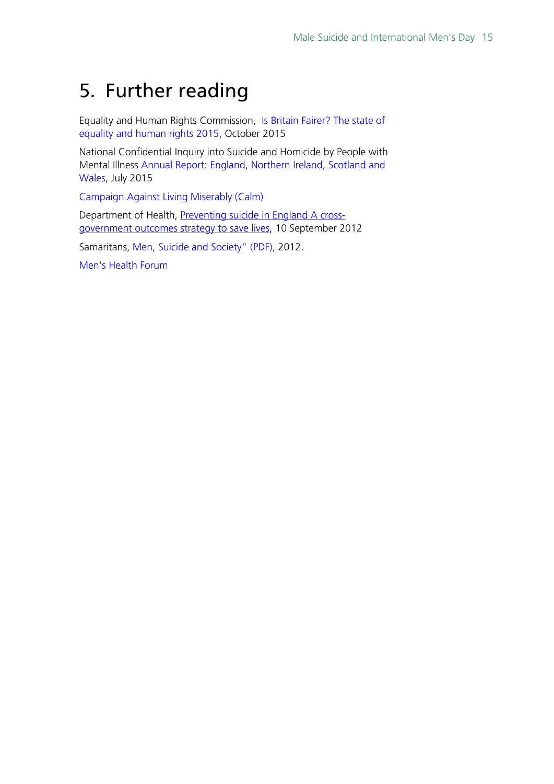# <span id="page-14-0"></span>5. Further reading

Equality and Human Rights Commission, Is Britain [Fairer? The state of](http://www.equalityhumanrights.com/sites/default/files/uploads/IBF/Final-reports/EHRC_IBF_MainReport_acc.pdf)  [equality and human rights 2015,](http://www.equalityhumanrights.com/sites/default/files/uploads/IBF/Final-reports/EHRC_IBF_MainReport_acc.pdf) October 2015

National Confidential Inquiry into Suicide and Homicide by People with Mental Illness [Annual Report: England, Northern Ireland, Scotland and](http://www.bbmh.manchester.ac.uk/cmhs/research/centreforsuicideprevention/nci/reports/NCISHReport2015bookmarked.pdf)  [Wales,](http://www.bbmh.manchester.ac.uk/cmhs/research/centreforsuicideprevention/nci/reports/NCISHReport2015bookmarked.pdf) July 2015

[Campaign Against Living Miserably \(Calm\)](https://www.thecalmzone.net/)

Department of Health, [Preventing suicide in England](https://www.gov.uk/government/uploads/system/uploads/attachment_data/file/430720/Preventing-Suicide-.pdf) A cross[government outcomes strategy to save lives,](https://www.gov.uk/government/uploads/system/uploads/attachment_data/file/430720/Preventing-Suicide-.pdf) 10 September 2012

Samaritans, [Men, Suicide and Society" \(PDF\),](http://www.samaritans.org/sites/default/files/kcfinder/files/press/Men%20Suicide%20and%20Society%20Research%20Report%20151112.pdf) 2012.

[Men's Health Forum](https://www.menshealthforum.org.uk/)